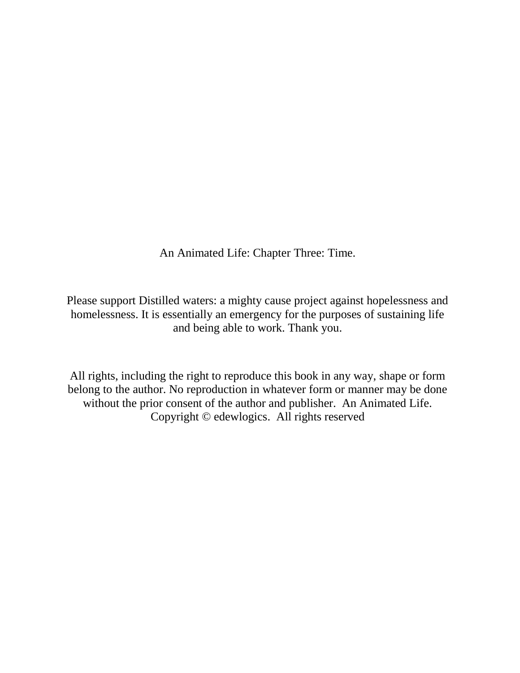An Animated Life: Chapter Three: Time.

Please support Distilled waters: a mighty cause project against hopelessness and homelessness. It is essentially an emergency for the purposes of sustaining life and being able to work. Thank you.

All rights, including the right to reproduce this book in any way, shape or form belong to the author. No reproduction in whatever form or manner may be done without the prior consent of the author and publisher. An Animated Life. Copyright © edewlogics. All rights reserved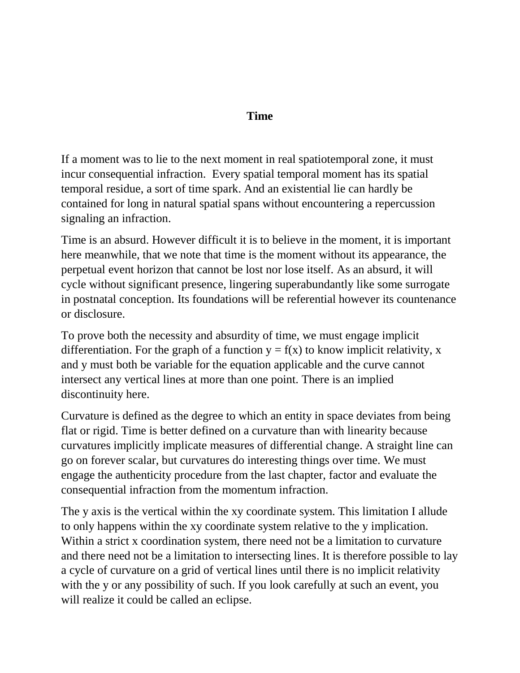## **Time**

If a moment was to lie to the next moment in real spatiotemporal zone, it must incur consequential infraction. Every spatial temporal moment has its spatial temporal residue, a sort of time spark. And an existential lie can hardly be contained for long in natural spatial spans without encountering a repercussion signaling an infraction.

Time is an absurd. However difficult it is to believe in the moment, it is important here meanwhile, that we note that time is the moment without its appearance, the perpetual event horizon that cannot be lost nor lose itself. As an absurd, it will cycle without significant presence, lingering superabundantly like some surrogate in postnatal conception. Its foundations will be referential however its countenance or disclosure.

To prove both the necessity and absurdity of time, we must engage implicit differentiation. For the graph of a function  $y = f(x)$  to know implicit relativity, x and y must both be variable for the equation applicable and the curve cannot intersect any vertical lines at more than one point. There is an implied discontinuity here.

Curvature is defined as the degree to which an entity in space deviates from being flat or rigid. Time is better defined on a curvature than with linearity because curvatures implicitly implicate measures of differential change. A straight line can go on forever scalar, but curvatures do interesting things over time. We must engage the authenticity procedure from the last chapter, factor and evaluate the consequential infraction from the momentum infraction.

The y axis is the vertical within the xy coordinate system. This limitation I allude to only happens within the xy coordinate system relative to the y implication. Within a strict x coordination system, there need not be a limitation to curvature and there need not be a limitation to intersecting lines. It is therefore possible to lay a cycle of curvature on a grid of vertical lines until there is no implicit relativity with the y or any possibility of such. If you look carefully at such an event, you will realize it could be called an eclipse.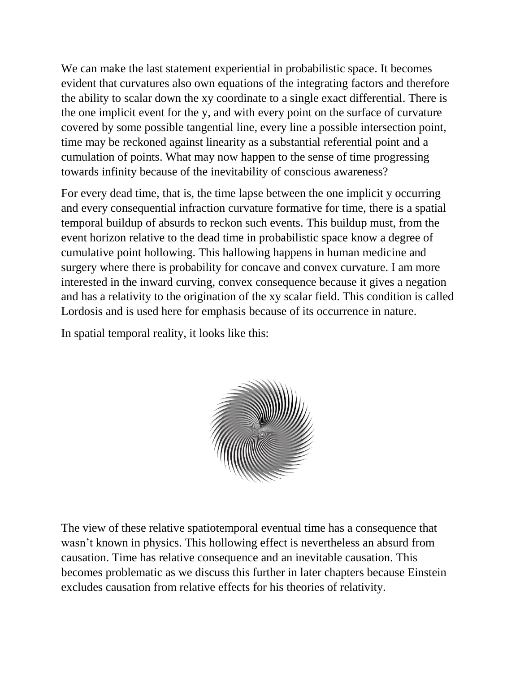We can make the last statement experiential in probabilistic space. It becomes evident that curvatures also own equations of the integrating factors and therefore the ability to scalar down the xy coordinate to a single exact differential. There is the one implicit event for the y, and with every point on the surface of curvature covered by some possible tangential line, every line a possible intersection point, time may be reckoned against linearity as a substantial referential point and a cumulation of points. What may now happen to the sense of time progressing towards infinity because of the inevitability of conscious awareness?

For every dead time, that is, the time lapse between the one implicit y occurring and every consequential infraction curvature formative for time, there is a spatial temporal buildup of absurds to reckon such events. This buildup must, from the event horizon relative to the dead time in probabilistic space know a degree of cumulative point hollowing. This hallowing happens in human medicine and surgery where there is probability for concave and convex curvature. I am more interested in the inward curving, convex consequence because it gives a negation and has a relativity to the origination of the xy scalar field. This condition is called Lordosis and is used here for emphasis because of its occurrence in nature.

In spatial temporal reality, it looks like this:



The view of these relative spatiotemporal eventual time has a consequence that wasn't known in physics. This hollowing effect is nevertheless an absurd from causation. Time has relative consequence and an inevitable causation. This becomes problematic as we discuss this further in later chapters because Einstein excludes causation from relative effects for his theories of relativity.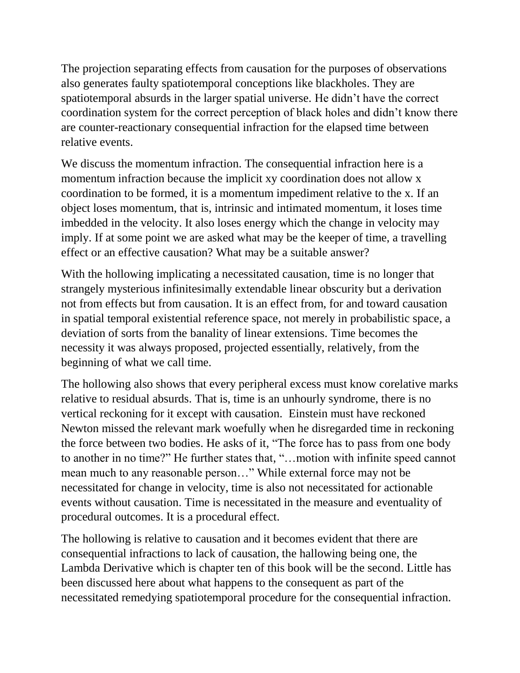The projection separating effects from causation for the purposes of observations also generates faulty spatiotemporal conceptions like blackholes. They are spatiotemporal absurds in the larger spatial universe. He didn't have the correct coordination system for the correct perception of black holes and didn't know there are counter-reactionary consequential infraction for the elapsed time between relative events.

We discuss the momentum infraction. The consequential infraction here is a momentum infraction because the implicit xy coordination does not allow x coordination to be formed, it is a momentum impediment relative to the x. If an object loses momentum, that is, intrinsic and intimated momentum, it loses time imbedded in the velocity. It also loses energy which the change in velocity may imply. If at some point we are asked what may be the keeper of time, a travelling effect or an effective causation? What may be a suitable answer?

With the hollowing implicating a necessitated causation, time is no longer that strangely mysterious infinitesimally extendable linear obscurity but a derivation not from effects but from causation. It is an effect from, for and toward causation in spatial temporal existential reference space, not merely in probabilistic space, a deviation of sorts from the banality of linear extensions. Time becomes the necessity it was always proposed, projected essentially, relatively, from the beginning of what we call time.

The hollowing also shows that every peripheral excess must know corelative marks relative to residual absurds. That is, time is an unhourly syndrome, there is no vertical reckoning for it except with causation. Einstein must have reckoned Newton missed the relevant mark woefully when he disregarded time in reckoning the force between two bodies. He asks of it, "The force has to pass from one body to another in no time?" He further states that, "…motion with infinite speed cannot mean much to any reasonable person…" While external force may not be necessitated for change in velocity, time is also not necessitated for actionable events without causation. Time is necessitated in the measure and eventuality of procedural outcomes. It is a procedural effect.

The hollowing is relative to causation and it becomes evident that there are consequential infractions to lack of causation, the hallowing being one, the Lambda Derivative which is chapter ten of this book will be the second. Little has been discussed here about what happens to the consequent as part of the necessitated remedying spatiotemporal procedure for the consequential infraction.